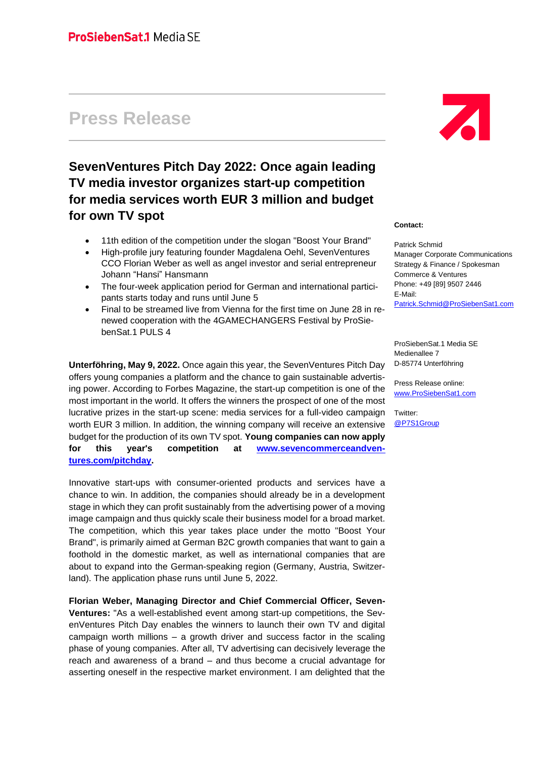# **Press Release**

## **SevenVentures Pitch Day 2022: Once again leading TV media investor organizes start-up competition for media services worth EUR 3 million and budget for own TV spot**

- 11th edition of the competition under the slogan "Boost Your Brand"
- High-profile jury featuring founder Magdalena Oehl, SevenVentures CCO Florian Weber as well as angel investor and serial entrepreneur Johann "Hansi" Hansmann
- The four-week application period for German and international participants starts today and runs until June 5
- Final to be streamed live from Vienna for the first time on June 28 in renewed cooperation with the 4GAMECHANGERS Festival by ProSiebenSat.1 PULS 4

**Unterföhring, May 9, 2022.** Once again this year, the SevenVentures Pitch Day offers young companies a platform and the chance to gain sustainable advertising power. According to Forbes Magazine, the start-up competition is one of the most important in the world. It offers the winners the prospect of one of the most lucrative prizes in the start-up scene: media services for a full-video campaign worth EUR 3 million. In addition, the winning company will receive an extensive budget for the production of its own TV spot. **Young companies can now apply for this year's competition at [www.sevencommerceandven](http://www.sevencommerceandventures.com/pitchday)[tures.com/pitchday.](http://www.sevencommerceandventures.com/pitchday)**

Innovative start-ups with consumer-oriented products and services have a chance to win. In addition, the companies should already be in a development stage in which they can profit sustainably from the advertising power of a moving image campaign and thus quickly scale their business model for a broad market. The competition, which this year takes place under the motto "Boost Your Brand", is primarily aimed at German B2C growth companies that want to gain a foothold in the domestic market, as well as international companies that are about to expand into the German-speaking region (Germany, Austria, Switzerland). The application phase runs until June 5, 2022.

**Florian Weber, Managing Director and Chief Commercial Officer, Seven-Ventures:** "As a well-established event among start-up competitions, the SevenVentures Pitch Day enables the winners to launch their own TV and digital campaign worth millions – a growth driver and success factor in the scaling phase of young companies. After all, TV advertising can decisively leverage the reach and awareness of a brand – and thus become a crucial advantage for asserting oneself in the respective market environment. I am delighted that the



#### **Contact:**

Patrick Schmid Manager Corporate Communications Strategy & Finance / Spokesman Commerce & Ventures Phone: +49 [89] 9507 2446 E-Mail: [Patrick.Schmid@ProSiebenSat1.com](mailto:Patrick.Schmid@ProSiebenSat1.com)

ProSiebenSat.1 Media SE Medienallee 7 D-85774 Unterföhring

Press Release online: [www.ProSiebenSat1.com](http://www.prosiebensat1.com/)

Twitter: [@P7S1Group](https://twitter.com/P7S1Group)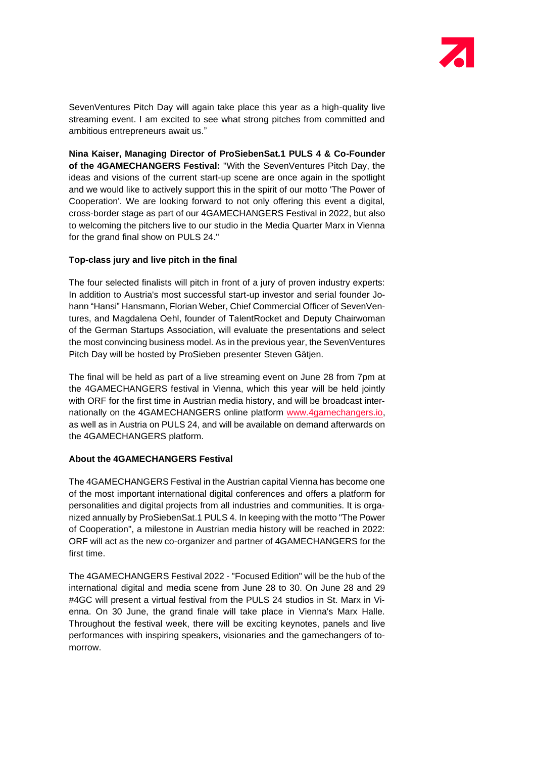

SevenVentures Pitch Day will again take place this year as a high-quality live streaming event. I am excited to see what strong pitches from committed and ambitious entrepreneurs await us."

**Nina Kaiser, Managing Director of ProSiebenSat.1 PULS 4 & Co-Founder of the 4GAMECHANGERS Festival:** "With the SevenVentures Pitch Day, the ideas and visions of the current start-up scene are once again in the spotlight and we would like to actively support this in the spirit of our motto 'The Power of Cooperation'. We are looking forward to not only offering this event a digital, cross-border stage as part of our 4GAMECHANGERS Festival in 2022, but also to welcoming the pitchers live to our studio in the Media Quarter Marx in Vienna for the grand final show on PULS 24."

#### **Top-class jury and live pitch in the final**

The four selected finalists will pitch in front of a jury of proven industry experts: In addition to Austria's most successful start-up investor and serial founder Johann "Hansi" Hansmann, Florian Weber, Chief Commercial Officer of SevenVentures, and Magdalena Oehl, founder of TalentRocket and Deputy Chairwoman of the German Startups Association, will evaluate the presentations and select the most convincing business model. As in the previous year, the SevenVentures Pitch Day will be hosted by ProSieben presenter Steven Gätjen.

The final will be held as part of a live streaming event on June 28 from 7pm at the 4GAMECHANGERS festival in Vienna, which this year will be held jointly with ORF for the first time in Austrian media history, and will be broadcast internationally on the 4GAMECHANGERS online platform [www.4gamechangers.io,](http://www.4gamechangers.io/) as well as in Austria on PULS 24, and will be available on demand afterwards on the 4GAMECHANGERS platform.

#### **About the 4GAMECHANGERS Festival**

The 4GAMECHANGERS Festival in the Austrian capital Vienna has become one of the most important international digital conferences and offers a platform for personalities and digital projects from all industries and communities. It is organized annually by ProSiebenSat.1 PULS 4. In keeping with the motto "The Power of Cooperation", a milestone in Austrian media history will be reached in 2022: ORF will act as the new co-organizer and partner of 4GAMECHANGERS for the first time.

The 4GAMECHANGERS Festival 2022 - "Focused Edition" will be the hub of the international digital and media scene from June 28 to 30. On June 28 and 29 #4GC will present a virtual festival from the PULS 24 studios in St. Marx in Vienna. On 30 June, the grand finale will take place in Vienna's Marx Halle. Throughout the festival week, there will be exciting keynotes, panels and live performances with inspiring speakers, visionaries and the gamechangers of tomorrow.